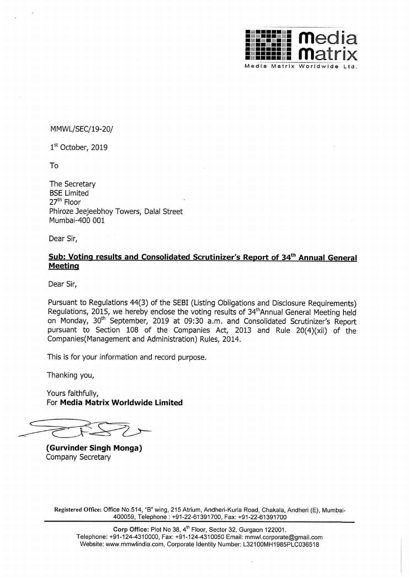

MMWL/SEC/19—20/

1st October, 2019

To

The Secretary BSE Limited 27<sup>th</sup> Floor Phiroze Jeejeebhoy Towers, Dalal Street Mumbai—400 001

Dear Sir,

## Sub: Voting results and Consolidated Scrutinizer's Report of 34<sup>th</sup> Annual General Meeting

Dear Sir,

Pursuant to Regulations 44(3) of the SEBI (Listing Obligations and Disclosure Requirements) Regulations, 2015, we hereby enclose the voting results of 34<sup>th</sup> Annual General Meeting held on Monday, 30<sup>th</sup> September, 2019 at 09:30 a.m. and Consolidated Scrutinizer's Report pursuant to Section <sup>108</sup> of the Companies Act, <sup>2013</sup> and Rule 20(4)(xii) of the Companies(Management and Administration) Rules, 2014.

This is for your information and record purpose.

Thanking you,

Yours faithfully, For Media Matrix Worldwide Limited

(Gurvinder Singh Monga) Company Secretary

Registered Office: Office No.514, "B" wing, 215 Atrium, Andheri-Kurla Road, Chakala, Andheri (E), Mumbai-400059, Telephone : +91 -22-61 391 700, Fax: +91-22—61391700

Corp Office: Plot No 38, 4<sup>th</sup> Floor, Sector 32, Gurgaon 122001. Telephone: +91-124-4310000, Fax: +91-124-4310050 Email: mmwl.corporate@gmail.com Website: www.mmwlindia.com, Corporate Identity Number: L32100MH1985PLC036518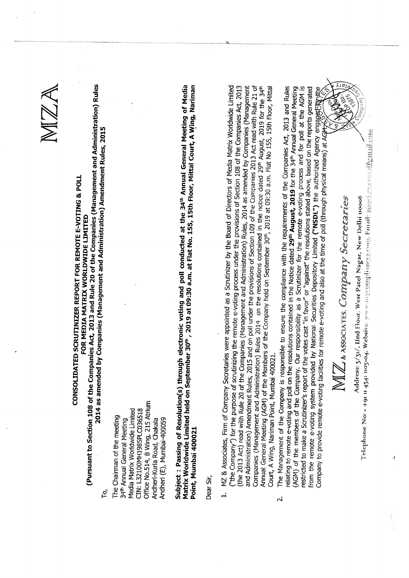$\approx$ CONSOLIDATED SS **Fig. 25**  $-$ Folio Refer  $\mathcal{R}$ E-VOTING  $\vec{z}$ m. w MEDIA MATRIX worldwide and the second contract of the second second contract of the second second second second second second second second second second second second second second second second second second second second second seco where the same of the same of the same of the same of the same of the same of the same of the same of the same of the same of the same of the same of the same of the same of the same of the same of the same of the same of to Section . . of the **c**<br>ame  $\ddot{\phantom{a}}$ . . . and Rule  $\boldsymbol{\sim}$ of the<br>T<br>D<br>A<br>C  $\sim$   $\sim$ and<br>t Rul Rules  $\overline{\phantom{a}}$ as amended  $\sum_{i=1}^{n}$ (Management  $\overline{a}$ Amendment Rules,  $221$ ট<br> the r<br>them<br>th Media Matrix Worldwide Limited  $\sim$   $\sim$  $-$ .<br>في G  $\sim$  $\sim$  m  $\sigma$ <u>.</u> ساسة Chakala ׆֦֦֞֞֞֞֞֞֞֞֞֞֞֞֞֞֞֬֟֓֕֬֞֞֞֟׆<br>֧֪֧<br>֧֪֧֪֢֘֞֞֞ of<br>The Si  $\mathbf{t}$ electronic voting and poll  $\sim$  conducted by  $\sim$ at  $\cdot$ 34th Annual  $-$ Meeting of  $\mathbf{m}$  $-1$ held  $\ddot{\tilde{}}$ 30th  $\mathbb{R}$ at 09:30 am. at Flat  $\epsilon$ 155,  $\mathbf{f}$ Floor, Mittal  $\sim$  $\tilde{z}$ Nariman 400021 س سە of<br>Company<br>Company Secretaries were the contract of the contract of the contract of the contract of the contract of the contract of the contract of the contract of the contract of the contract of the contract of the contract of the contract of the contr  $\sim$  and  $\sim$ as aScrutinizer <u>ය</u>  $\boldsymbol{\varpi}$  $\overline{\phantom{0}}$ of  $$ ō  $$ worldwide and the second contract of the second second contract of the second second second second second second second second second second second second second second second second second second second second second seco  $$ for  $\boldsymbol{\Xi}$  $\overline{\phantom{a}}$  $55\frac{u}{b}$  $\mathbf{t}$ remote e-voting process under the  $\frac{1}{n}$ ō Section ... ট<br> the Company<br>Theory  $\mathbf{a}$ 2012 L Act) read of the control of the control of the control of the control of the control of the control of the control of the control of the control of the control of the control of the control of the control of the control of the  $> 1$  $\mathfrak{m}$  ;  $\mathbf{\sim}$ of the **c**<br>es, 2<br>nistra  $\sim$ and<br>Administration<br>On Big Rules, 2014 as  $$ byCompanies<br>District<br>District  $\sim$   $\sim$ Amendment Rules, 2015  $\mathbf{v}$ on  $\sigma$  $$ the p<br>the pad ō Section  $\overline{\phantom{a}}$  . ō the q<br>at 0<br>at 0 2013 Act  $r$  $\geq$  1 د عا  $\sim$ of  $\sim$   $\sim$ and<br>GM)<br>Mit. N Rules 2014 on  $\boldsymbol{\varpi}$ resolutions contained in  $\mathbf{t}$  : notice  $\sim$   $\sim$  $\sim$  $\sim$   $-$ 2019 T  $\tilde{}$ the 34'"  $\sim$   $\rightarrow$  $\sim$ n of  $\overline{f}$ **Members Managers** of the<sub>C</sub> held and developed and developed and developed and developed and developed and developed and developed and developed and developed and developed and developed and developed and developed and developed and developed and dev  $\overline{5}$  $m_{\parallel}$  $22$  $\frac{1}{6}$  $\sim$ Flat No  $\mathbf{r}$  $\blacksquare$  $\leftarrow$  $\geq$ Nariman Point,  $\sim$ 400021. of the Company<br>Separation<br>Separation is responsible and the second contract of the second contract of the second contract of the second contract of the second contract of the second contract of the second contract of the second contract of the second contract of to  $\bullet$ the complete complete complete complete complete control complete complete control complete complete complete <br>the complete complete complete complete complete complete complete complete complete complete complete complet<br>  $\geq$  $\mathbf{t}$ requirements ō the company<br>The Company<br>The Company<br>The Company<br>The Company<br>The Company<br>The Company<br>The Company<br>The Company<br>The Company<br>The Company<br>The Company<br>In The Company<br>In The Company<br>In The Company<br>In The Company<br>In The Company<br>In Act, ين بت and  $\mathbf{r}$ to  $\overline{r}$ e«voting and  $\mathbf{p}$ on  $\mathbf{r}$ resolutions contained in the Notice  $\overline{\phantom{a}}$  $29<sup>th</sup>$  August 2019  $\tilde{}$  $\overline{v}$ 34th Annual  $-$ Meeting of  $\pm$  $\sim$  10  $\sim$ ট<br> the<br><sub>Izer's</sub>  $\tilde{\phantom{a}}$ responsibility as a<br>Scr for  $\overline{f}$  $-$ n $$ e—voting  $\overline{\phantom{a}}$ and  $\tilde{\mathbf{f}}$  $\sigma$ at  $\overline{v}$  $$ is to  $$ a Scrutinizer's r<br>e-voting system<br>le remote e-voti of the votes  $\sim$  $\mathcal{F}^{\mathcal{F}}$  $\leftarrow$   $\leftarrow$ or "against"  $\pm$ resolutions  $\cdots$  $\sim$  . ں ست on  $\overline{v}$  $\overline{\phantom{a}}$ generated remote  $\sim$   $$ system  $\mathbf{p}$ ھ National Securities  $\blacksquare$  $\mathcal{L}$  $\tilde{\phantom{a}}$  $\overline{t}$ authorized and the contract of the contract of the contract of the contract of the contract of the contract of  $\sim$   $\sim$ enga; f to provide remote e-voting facilities for remote e-voting and  $\overline{v}$ at  $\mathbf{r}$  $\overline{f}$ of  $\sigma$  $\sim$ physical means) at A "  $\epsilon$ &ASSOCIATES,  $\bigcup_{\mathscr{Z}}$  $\frac{d}{dx}$ Address: 3/3n/,  $\overline{\phantom{a}}$ limited in the second con- $\mathbf{w}$ Patei  $\sim$ Delhi **1100**  $t$ hone and the second state of the second state in the second state in the second state in the second state in the second state in the second state in the second state in the second state in the second state in the second st  $\overline{v}$  $\frac{1}{1}$ 1 ill 13 no  $\overline{\mathbf{0}}$  $\tilde{\phantom{a}}$ we um, Email خ<br>آ '9'  $43<sup>4</sup>$ ू<br>प्र <u>र्भ</u>

(Pursuant

 $\vdash$   $\vdash$   $\vdash$ 

Chairman

 $\mathfrak{m}$  .  $\overline{\phantom{a}}$  .

 $-$ 

 $\checkmark$ 

 $\tilde{\phantom{a}}$ 

 $\sim$ 

 $-$  n. n. n.  $-$ 

Andheri-Kurla

Andheri

 $\tilde{\phantom{0}}$ 

 $-$ 

Subject

**Max ham** 

worldwide and the second state of the second state in the second state of the second state in the second state

Mumbai

Point,

Dear

<u>.</u>  $\epsilon$ ب<br>⊗م

 $(the 2$ <br>(the  $2$ 

 $\tilde{\phantom{a}}$ 2 - 1

 $\frac{1}{6}$   $\frac{1}{2}$   $\frac{1}{2}$   $\frac{1}{2}$   $\frac{1}{2}$   $\frac{1}{2}$   $\frac{1}{2}$   $\frac{1}{2}$   $\frac{1}{2}$   $\frac{1}{2}$   $\frac{1}{2}$   $\frac{1}{2}$   $\frac{1}{2}$   $\frac{1}{2}$   $\frac{1}{2}$   $\frac{1}{2}$   $\frac{1}{2}$   $\frac{1}{2}$   $\frac{1}{2}$   $\frac{1}{2}$   $\frac{1}{2}$   $\frac{1}{2}$ 

 $-$ 

Annual

 $\sim$  1

 $\overline{N}$ 

The I<sub>dia</sub>

relating

 $\sim$  1

restricted

 $\overline{t}$ 

ب ب

Company

 $-$ 

A

Sir,

 $-$ 

 $\tilde{\phantom{a}}$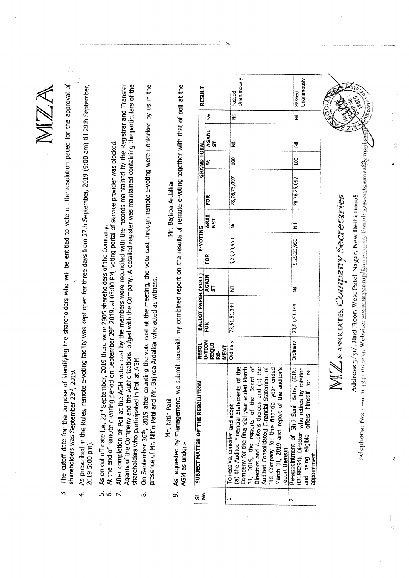MZA

ত<br>

- approval  $\mathbf{t}$  $\tilde{r}$ parties are the contract of the contract of the contract of the contract of the contract of the contract of the contract of the contract of the contract of the contract of the contract of the contract of the contract of th resolution and the contract of the contract of the contract of the contract of the contract of the contract of the contract of the contract of the contract of the contract of the contract of the contract of the contract of  $\pm$ on  $\geq$  $\mathbf{B}$ entitled be  $\geq$  $\geq$ shareholders  $\boldsymbol{\tau}$ e<br>identify 2019.  $23^{\circ}$  $\overline{\phantom{m}}$  $\Xi$ September ي<br>ح  $\mathcal{L}$ date  $\sim$  $\blacksquare$  $\ddot{ }$
- $29th$  :  $\Xi$ am)  $\sim$  $\sim$  $27th$  S from days  $\overline{\phantom{a}}$  $\tilde{}$  $\overline{\phantom{a}}$  $\boldsymbol{\varkappa}$  .  $\sim$ facility e-voting remote Rules, in the  $\mathbf{p}$ 5:00 4្គុដ<br>ស្ថិ shareholders  $221$  $4.$ 
	- $\overline{\circ}$  $29.7$ were  $\overline{\phantom{a}}$ 2019  $23<sup>rd</sup>$ <br> $3<sup>rd</sup>$ ....<u>.</u>  $\sim$  .  $\circ$  $\mathbf \sigma$ on  $\triangleleft$ ம் மி
	- shareholders the<br>Company  $\breve{\mathbf{r}}$  $\overline{v}$  $\mathbf \omega$ r<br>Politi period on<br>September  $\mathbf{N}$  $22$ ದ<br>ನ p.,  $\sim$   $\approx$ portal of provider  $\tilde{\phantom{a}}$ blocked.
- of the Transfer  $\boldsymbol{\omega}$  . the particular<br>the particular<br>distribution the L<br>Thing  $\epsilon$  $\sim$   $\sim$ maintained maintained  $\tilde{\phantom{a}}$ service records and the cordinate the register  $\geq$  0  $\breve{\mathbf{A}}$ reconciled were  $\mathfrak{g}$  $\epsilon$  $\geq$ the <u>ය</u> lodged  $\sim$  $\sim$  m at  $\sim$ ت<br>ع Authorizations  $\sim$  ...  $\Xi$ the  $\overline{10}$  $\boldsymbol{\varpi}$  .  $\mathbf v$  v Poll of the C<br>ars w ট<br> After of<br>Agenter<br>shareh  $\sim$  $\vec{r}$ 
	- $\frac{t}{2}$ us <u>م</u> und blocked and the second second second second second second second second second second second second second second second second second second second second second second second second second second second second second were the contract of the contract of the contract of the contract of the contract of the contract of the contract of the contract of the contract of the contract of the contract of the contract of the contract of the contr e-voting remote  $\overline{ }$  $\sim$  $\sim$  $\overline{v}$  $\overline{ }$  $m \pi$ as  $\overline{v}$ at  $\ddot{\phantom{a}}$  $\geq$  $\sim$  $\sim$  1 Ardalkar  $\pm$ Bajiroa  $\sim$   $\tilde{ }$ after and سلسا 22 L who I<br>s = 30th<br>lr. Nit  $\sim$  $\sim$ Mr. of 0"September shareholders presence and the second control of the second control of the second control of the second control of the second control of the second control of the second control of the second control of the second control of the second  $\infty$

Mr.  $\leftarrow$ Patil

 $\mathbf{r}$  $\overline{c}$  $\sigma$ of ا قسا  $\geq$ to the contract of the contract of the contract of the contract of the contract of the contract of the contract of the contract of the contract of the contract of the contract of the contract of the contract of the contrac Mr. Bajiroa Ardalkar e—voting Ardalkar  $\overline{5}$  $\overline{\phantom{0}}$ results and the second state of the second state of the second state in the second state of the second state in the second state in the second state in the second state in the second state in the second state in the second  $\overline{u}$ on report combined and combined and combined and combined and combined and combined and combined and combined and combined and combined and combined and combined and combined and combined and combined and combined and combined and c  $=$ here with the contract of the contract of the contract of the contract of the contract of the contract of the contract of the contract of the contract of the contract of the contract of the contract of the contract of the submit  $\geq$  $\bar{\hat{\mathsf{a}}}$  in  $\bar{\hat{\mathsf{a}}}$ under: as requested  $\blacktriangleleft$  $\overline{\phantom{a}}$ o.

| -<br>ត | SUBJECT MATTER OF THE RESOLUTION                                                                                                                                                                                                                                                                                                                                   | <b>RESOL</b>                             | BALLOT PAPER (POLL)     |             | E-VOTING    |             |              | <b>GRAND TOTAL</b> |             |   | RESULT                |
|--------|--------------------------------------------------------------------------------------------------------------------------------------------------------------------------------------------------------------------------------------------------------------------------------------------------------------------------------------------------------------------|------------------------------------------|-------------------------|-------------|-------------|-------------|--------------|--------------------|-------------|---|-----------------------|
| ġ      |                                                                                                                                                                                                                                                                                                                                                                    | <b>U-TION<br/>REQUI<br/>NEMT</b><br>MENT | FOR                     | AGAIN<br>ST | FOR         | AGAI<br>NST | FOR          | Ş                  | AGANI<br>ST | Ş |                       |
|        | Company for the financial year ended March 31, 2019, the reports of the Board of Directors and Auditors thereon and (b) the Audited Consolidated Financial Statement of the Company for the financial year ended<br>ť<br>March 31, 2019 and report of the auditor's<br>(a) the Audited Financial Statements of<br>To receive, consider and adopt<br>report thereon | Ordinary                                 | 73,51,51,144            | E           | 5,25,23,953 | Ē           | 78,76,75,097 | g                  | ₹           | Ę | Jnanimously<br>Passed |
|        | Re-appointment of Shri Sunil Batra, (DIN:<br>02188254), Director who retires by rotation<br>စ္ပ်<br>and being eligible offers himself for<br>appointment                                                                                                                                                                                                           |                                          | Ordinary   73,51,51,144 | Ē           | 5,25,23,953 | Ē           | 78,76,75,097 | 100                | Ē           | Ē | Jnanimously<br>Passed |
|        |                                                                                                                                                                                                                                                                                                                                                                    |                                          |                         |             |             |             |              |                    |             |   | ĺ                     |

 $\leftarrow$   $\geq$ sASSOCIATES,  $\epsilon$  is the  $\epsilon$ Secretau<br>', New Delhi 1<br>'Sami', Email: Address:  $3^{3}$ illlirld floor,  $\overline{\phantom{a}}$ Pastel  $-$ Umi "0008 Telephome<br>.  $\frac{1}{3}$  $\frac{1}{2}$ magmas, We wit.  $\frac{1}{35}$  . ea ii<del>nimat</del> .isee in the contract of the contract of the contract of the contract of the contract of the contract of the contract of the contract of the contract of the contract of the contract of the contract of the contract of the c \*\* ' ' nastier InCitros.

 $\geq$ 

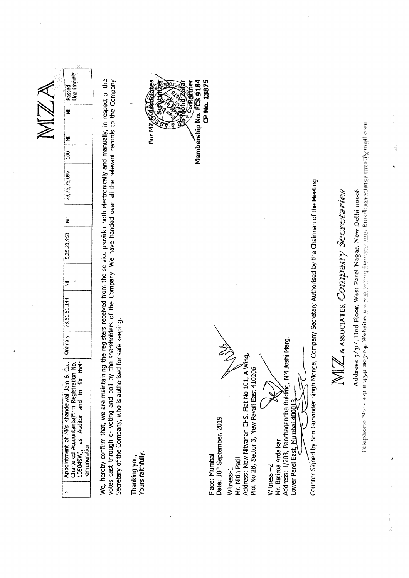|                                                                                                                                                                                                                                                                                                                                                               | NZ                                                                                                                        |
|---------------------------------------------------------------------------------------------------------------------------------------------------------------------------------------------------------------------------------------------------------------------------------------------------------------------------------------------------------------|---------------------------------------------------------------------------------------------------------------------------|
| $\mathcal{C}$<br>Z<br>73,51,51,144<br>Ordinary<br>and to fix their<br>Appointment of M/s Khandelwal Jain & Co.,<br>Chartered Accountants(Firm Registration No.<br><b>Auditor</b><br>35<br>remuneration<br>105049W),<br>S                                                                                                                                      | Unanimou <sup>sly</sup><br>Passed<br>$\overline{\overline{z}}$<br>₹<br>$\overline{5}$<br>78,76,75,097<br>ž<br>5,25,23,953 |
| We, hereby confirm that, we are maintaining the registers received from the service provider both electronically and manually, in respect of the<br>votes cast through e- voting and poll by the shareholders of the Company. We have handed over all the relevant records to the Company<br>safe keeping.<br>Secretary of the Company, who is authorised for |                                                                                                                           |
| Yours faithfully,<br>Thanking you,                                                                                                                                                                                                                                                                                                                            | ŵ<br>For MZ & DES                                                                                                         |
|                                                                                                                                                                                                                                                                                                                                                               | <b>BACTES</b>                                                                                                             |
|                                                                                                                                                                                                                                                                                                                                                               | CP No. 13875<br>Membership No. FCS 9184<br>Corparidie                                                                     |
| Date: 30 <sup>th</sup> September, 2019<br>Place: Mumbai                                                                                                                                                                                                                                                                                                       |                                                                                                                           |
| Address: New Nityanan CHS, Flat No 101, A Wing,<br>Plot No 28, Sector 3, New Pavail East 410206<br>Mr. Nitin Patil<br>Witness-1                                                                                                                                                                                                                               |                                                                                                                           |
| Witness-2                                                                                                                                                                                                                                                                                                                                                     |                                                                                                                           |
| Address: 1/203, Panchagandha Buldfing, NM Joshi Marg,<br>Lower Parel East, Mumbai 40001<br>Mr. Bajiroa Ardalkar                                                                                                                                                                                                                                               |                                                                                                                           |
| Counter Signed by Shri Gurvinder Singh Monga, Company Secretary Authorised by the Chairman of the Meeting                                                                                                                                                                                                                                                     |                                                                                                                           |
| A ASSOCIATES, CONNINDANY Secretaries                                                                                                                                                                                                                                                                                                                          |                                                                                                                           |
| Telephone $N\omega$ + $+$ 91 u 4341 nos $\sim$ 4. Website: www.mx.mnplismess.com hannal newspation parameter $\omega$<br>Address: 5/31/, IInd Floor, West Patel Nagar, New Delhi nooo8                                                                                                                                                                        |                                                                                                                           |
| J<br>22年1月12日                                                                                                                                                                                                                                                                                                                                                 |                                                                                                                           |

 $\hat{\mathcal{A}}$ 

 $\hat{a}^{\mu}_{\mu}$ 

 $\label{eq:1} \begin{array}{c} \mathcal{S}_{\mathcal{S}} \\ \mathcal{S}_{\mathcal{S}} \end{array}$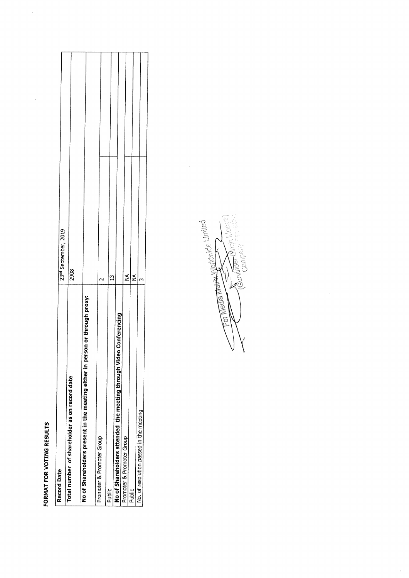## FOR

 $\label{eq:2.1} \frac{1}{2} \int_{\mathbb{R}^3} \frac{1}{\sqrt{2}} \, \frac{1}{\sqrt{2}} \, \frac{1}{\sqrt{2}} \, \frac{1}{\sqrt{2}} \, \frac{1}{\sqrt{2}} \, \frac{1}{\sqrt{2}} \, \frac{1}{\sqrt{2}} \, \frac{1}{\sqrt{2}} \, \frac{1}{\sqrt{2}} \, \frac{1}{\sqrt{2}} \, \frac{1}{\sqrt{2}} \, \frac{1}{\sqrt{2}} \, \frac{1}{\sqrt{2}} \, \frac{1}{\sqrt{2}} \, \frac{1}{\sqrt{2}} \, \frac{1}{\sqrt{2}} \,$ 

 $\overline{\phantom{a}}$ 

| FORMAT FOR VOTING RESULTS                                                    |                                  |
|------------------------------------------------------------------------------|----------------------------------|
| <b>Record Date</b>                                                           | 23 <sup>nd</sup> September, 2019 |
| Total number of shareholder as on record date                                | 2908                             |
| No of Shareholders present in the meeting either in person or through proxy: |                                  |
| Promoter & Promoter Group                                                    |                                  |
| Public                                                                       | $\mathfrak{u}$                   |
| No of Shareholders attended the meeting through Video Conferencing           |                                  |
| Promoter & Promoter Group                                                    | ≨                                |
| Public                                                                       | ≨                                |
| No. of resolution passed in the meeting                                      |                                  |
|                                                                              |                                  |
|                                                                              |                                  |

For Means the Worldwide Limited E<br>S

 $\frac{1}{\sqrt{2}}$ 

l,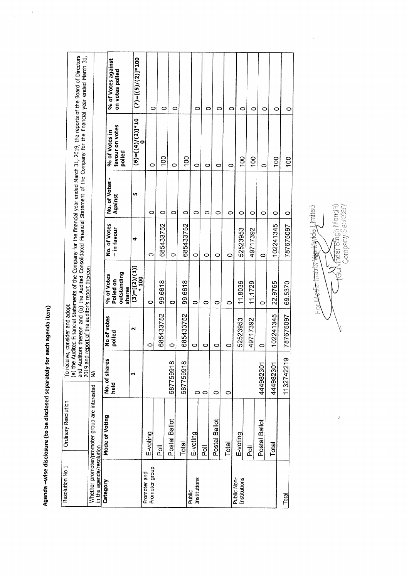-wise discussion and the contract of the contract of the contract of the contract of the contract of the contract of  $\tilde{\phantom{a}}$ be disclosed by the contract of the contract of the contract of the contract of the contract of the contract of the contract of the contract of the contract of the contract of the contract of the contract of the contract of t  $\bullet$  $\tilde{}$ each agenda item)

 $\frac{1}{\sqrt{2}}$ 

Agenda

|                                                                                                                                                                                                                                                                           |                                                |                | % of Votes against<br>on votes polled      |        | $(7)=[(5)/(2)]*100$       |                                |                           |               |                |                        |                               |               |         |                             |                               |               |                      |                      |
|---------------------------------------------------------------------------------------------------------------------------------------------------------------------------------------------------------------------------------------------------------------------------|------------------------------------------------|----------------|--------------------------------------------|--------|---------------------------|--------------------------------|---------------------------|---------------|----------------|------------------------|-------------------------------|---------------|---------|-----------------------------|-------------------------------|---------------|----------------------|----------------------|
| (a) the Audited Financial Statements of the Company for the financial year ended March 31, 2019, the reports of the Board of Directors<br>and Auditors thereon and (b) the Audited Consolidated Financial Statement of the Company for the financial year ended March 31, |                                                |                | favour on votes<br>% of Votes in<br>polled |        | $(6)=[(4)/(2)]*10$        | 0<br>$\circ$                   | 0<br>$\frac{8}{100}$      | $\circ$<br>0  | $\overline{5}$ | 0<br>0                 | 0<br>0                        | 0<br>0        | 0<br>O  | O<br>OOL                    | Ó<br>$\frac{8}{2}$            | O<br>$\circ$  | 0<br>$\frac{8}{100}$ | 0<br>$\overline{00}$ |
|                                                                                                                                                                                                                                                                           |                                                |                | No. of Votes<br>Against                    |        | ĩΩ,                       | O                              | 0                         | 0             | 0              | 0                      | O                             | 0             | 0       | $\circ$                     | $\circ$                       | $\circ$       | 0                    | 0                    |
|                                                                                                                                                                                                                                                                           |                                                |                | No. of Votes<br>- in favour                |        | 4                         | O                              | 685433752                 | $\circ$       | 685433752      | $\circ$                | 0                             | O             | $\circ$ | 52523953                    | 49717392                      | $\circ$       | 102241345            | 787675097            |
|                                                                                                                                                                                                                                                                           |                                                |                | outstanding<br>% of Votes<br>Polled on     | shares | $(3)=[(2)/(1)]$<br>$*100$ | $\circ$                        | 99.6618                   | 0             | 99.6618        | 0                      | $\circ$                       | 0             | 0       | 11.8036                     | 11.1729                       | O             | 22.9765              | 69.5370              |
| 2019 and report of the auditor's report thereon<br>To receive, consider and adopt                                                                                                                                                                                         |                                                |                | No of votes<br>polled                      | N      |                           | $\circ$                        | 685433752                 | 0             | 685433752      | $\circ$                | 0                             | 0             | 0       | 52523953                    | 49717392                      | $\circ$       | 102241345            | 787675097            |
|                                                                                                                                                                                                                                                                           | $\lessgtr$                                     | No. of shares  | held                                       | ᆏ      |                           |                                |                           | 687759918     | 687759918      |                        | $\circ$                       | 0             | 0       |                             |                               | 444982301     | 444982301            | 1132742219           |
| Ordinary Resolution                                                                                                                                                                                                                                                       | Whether promoter/promoter group are interested | Mode of Voting |                                            |        |                           | E-voting                       | $\overline{\overline{Q}}$ | Postal Ballot | Total          | E-voting               | $\overline{\overline{\circ}}$ | Postal Ballot | Total   | E-voting                    | $\overline{\overline{\circ}}$ | Postal Ballot | Total                |                      |
| Resolution No 1                                                                                                                                                                                                                                                           | in the agenda/resolution                       | Category       |                                            |        |                           | Promoter group<br>Promoter and |                           |               |                | Institutions<br>Public |                               |               |         | Institutions<br>Public Non- |                               |               |                      | Total                |

**Company** Secretary in ar<br>E ∖

 $\frac{1}{2}$ 

 $\overline{1}$ 

 $\hat{\mathcal{A}}$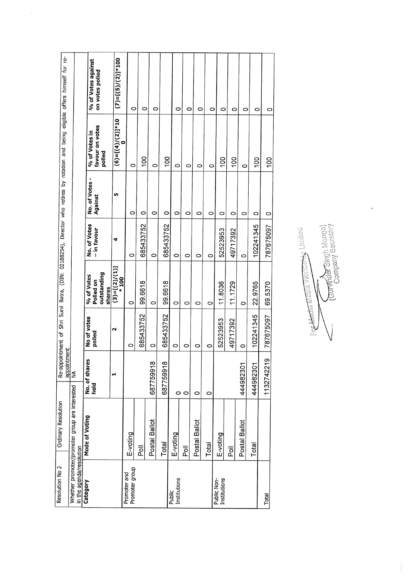| Resolution No 2                | Ordinary Resolution                            |                       |                       |                                                  |                             |                                |                                            | Re-appointment of Shri Sunil Batra, (DIN: 02188254), Director who retires by rotation and being eligible offers himself for re- |
|--------------------------------|------------------------------------------------|-----------------------|-----------------------|--------------------------------------------------|-----------------------------|--------------------------------|--------------------------------------------|---------------------------------------------------------------------------------------------------------------------------------|
| in the agenda/resolution       | Whether promoter/promoter group are interested | appointment<br>NA     |                       |                                                  |                             |                                |                                            |                                                                                                                                 |
| Category                       |                                                |                       |                       |                                                  |                             |                                |                                            |                                                                                                                                 |
|                                | Mode of Voting                                 | No. of shares<br>held | No of votes<br>polled | outstanding<br>% of Votes<br>Polled on<br>shares | No. of Votes<br>- in favour | ٠<br>No. of Votes -<br>Against | favour on votes<br>% of Votes in<br>polled | % of Votes against<br>on votes polled                                                                                           |
|                                |                                                | ન                     | N                     | $(3)=[(2)/(1)]$<br>$*100$                        | ₹                           | m                              | $(6)=[(4)/(2)]*10$                         | $(7)=[(5)/(2)]*100$                                                                                                             |
| Promoter group<br>Promoter and | E-voting                                       |                       | o                     | 0                                                | 0                           | 0                              | 0                                          | 0                                                                                                                               |
|                                | $\overline{\overline{Q}}$                      |                       | 685433752             | 99.6618                                          | 685433752                   | 0                              | <b>OO1</b>                                 | 0                                                                                                                               |
|                                | Postal Ballot                                  | 687759918             | $\circ$               | $\circ$                                          | 0                           | 0                              | 0                                          | 0                                                                                                                               |
|                                | Total                                          | 687759918             | 685433752             | 99.6618                                          | 685433752                   | 0                              | SOL                                        |                                                                                                                                 |
| Institutions<br>Public         | E-voting                                       | $\circ$               | 0                     | O                                                | 0                           | 0                              | 0                                          | 0                                                                                                                               |
|                                | $\overline{\overline{Q}}$                      | $\circ$               | 0                     | $\circ$                                          | 0                           | 0                              | 0                                          | $\circ$                                                                                                                         |
|                                | Postal Ballot                                  | O                     | 0                     | 0                                                | $\circ$                     | 0                              | 0                                          | 0                                                                                                                               |
|                                | Total                                          | $\circ$               | O                     | $\circ$                                          | 0                           | 0                              | O                                          | 0                                                                                                                               |
| Public Non-<br>Institutions    | E-voting                                       |                       | 52523953              | 11.8036                                          | 52523953                    | 0                              | SOL                                        | 0                                                                                                                               |
|                                | $\overline{\overline{\overline{c}}}$           |                       | 49717392              | 11.1729                                          | 49717392                    | 0                              | OOL                                        | 0                                                                                                                               |
|                                | Postal Ballot                                  | 444982301             | 0                     | O                                                | $\circ$                     | O                              | O                                          | O                                                                                                                               |
|                                | Total                                          | 444982301             | 102241345             | 22.9765                                          | 102241345                   | $\circ$                        | $\frac{10}{2}$                             | 0                                                                                                                               |
| Total                          |                                                | ω<br>113274221        | 787675097             | 69.5370                                          | 787675097                   | 0                              | $\frac{5}{2}$                              | 0                                                                                                                               |
|                                |                                                |                       |                       |                                                  |                             |                                |                                            |                                                                                                                                 |

 $\hat{\boldsymbol{\beta}}$ 

Commidat Singh Monga) For the distribution of the United Limited  $\sqrt{}$